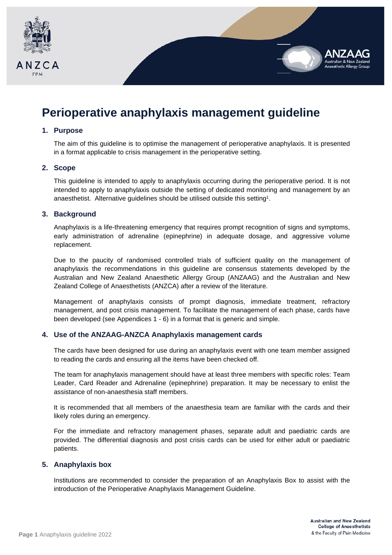

# **Perioperative anaphylaxis management guideline**

#### **1. Purpose**

The aim of this guideline is to optimise the management of perioperative anaphylaxis. It is presented in a format applicable to crisis management in the perioperative setting.

#### **2. Scope**

This guideline is intended to apply to anaphylaxis occurring during the perioperative period. It is not intended to apply to anaphylaxis outside the setting of dedicated monitoring and management by an anaesthetist. Alternative guidelines should be utilised outside this setting<sup>1</sup>.

#### **3. Background**

Anaphylaxis is a life-threatening emergency that requires prompt recognition of signs and symptoms, early administration of adrenaline (epinephrine) in adequate dosage, and aggressive volume replacement.

Due to the paucity of randomised controlled trials of sufficient quality on the management of anaphylaxis the recommendations in this guideline are consensus statements developed by the Australian and New Zealand Anaesthetic Allergy Group (ANZAAG) and the Australian and New Zealand College of Anaesthetists (ANZCA) after a review of the literature.

Management of anaphylaxis consists of prompt diagnosis, immediate treatment, refractory management, and post crisis management. To facilitate the management of each phase, cards have been developed (see Appendices 1 - 6) in a format that is generic and simple.

## **4. Use of the ANZAAG-ANZCA Anaphylaxis management cards**

The cards have been designed for use during an anaphylaxis event with one team member assigned to reading the cards and ensuring all the items have been checked off.

The team for anaphylaxis management should have at least three members with specific roles: Team Leader, Card Reader and Adrenaline (epinephrine) preparation. It may be necessary to enlist the assistance of non-anaesthesia staff members.

It is recommended that all members of the anaesthesia team are familiar with the cards and their likely roles during an emergency.

For the immediate and refractory management phases, separate adult and paediatric cards are provided. The differential diagnosis and post crisis cards can be used for either adult or paediatric patients.

## **5. Anaphylaxis box**

Institutions are recommended to consider the preparation of an Anaphylaxis Box to assist with the introduction of the Perioperative Anaphylaxis Management Guideline.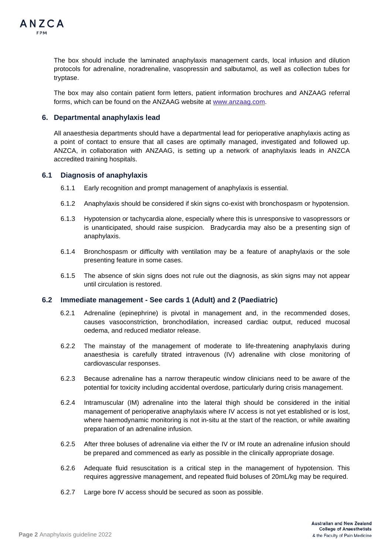

The box should include the laminated anaphylaxis management cards, local infusion and dilution protocols for adrenaline, noradrenaline, vasopressin and salbutamol, as well as collection tubes for tryptase.

The box may also contain patient form letters, patient information brochures and ANZAAG referral forms, which can be found on the ANZAAG website at [www.anzaag.com.](http://www.anzaag.com/)

#### **6. Departmental anaphylaxis lead**

All anaesthesia departments should have a departmental lead for perioperative anaphylaxis acting as a point of contact to ensure that all cases are optimally managed, investigated and followed up. ANZCA, in collaboration with ANZAAG, is setting up a network of anaphylaxis leads in ANZCA accredited training hospitals.

#### **6.1 Diagnosis of anaphylaxis**

- 6.1.1 Early recognition and prompt management of anaphylaxis is essential.
- 6.1.2 Anaphylaxis should be considered if skin signs co-exist with bronchospasm or hypotension.
- 6.1.3 Hypotension or tachycardia alone, especially where this is unresponsive to vasopressors or is unanticipated, should raise suspicion. Bradycardia may also be a presenting sign of anaphylaxis.
- 6.1.4 Bronchospasm or difficulty with ventilation may be a feature of anaphylaxis or the sole presenting feature in some cases.
- 6.1.5 The absence of skin signs does not rule out the diagnosis, as skin signs may not appear until circulation is restored.

#### **6.2 Immediate management - See cards 1 (Adult) and 2 (Paediatric)**

- 6.2.1 Adrenaline (epinephrine) is pivotal in management and, in the recommended doses, causes vasoconstriction, bronchodilation, increased cardiac output, reduced mucosal oedema, and reduced mediator release.
- 6.2.2 The mainstay of the management of moderate to life-threatening anaphylaxis during anaesthesia is carefully titrated intravenous (IV) adrenaline with close monitoring of cardiovascular responses.
- 6.2.3 Because adrenaline has a narrow therapeutic window clinicians need to be aware of the potential for toxicity including accidental overdose, particularly during crisis management.
- 6.2.4 Intramuscular (IM) adrenaline into the lateral thigh should be considered in the initial management of perioperative anaphylaxis where IV access is not yet established or is lost, where haemodynamic monitoring is not in-situ at the start of the reaction, or while awaiting preparation of an adrenaline infusion.
- 6.2.5 After three boluses of adrenaline via either the IV or IM route an adrenaline infusion should be prepared and commenced as early as possible in the clinically appropriate dosage.
- 6.2.6 Adequate fluid resuscitation is a critical step in the management of hypotension. This requires aggressive management, and repeated fluid boluses of 20mL/kg may be required.
- 6.2.7 Large bore IV access should be secured as soon as possible.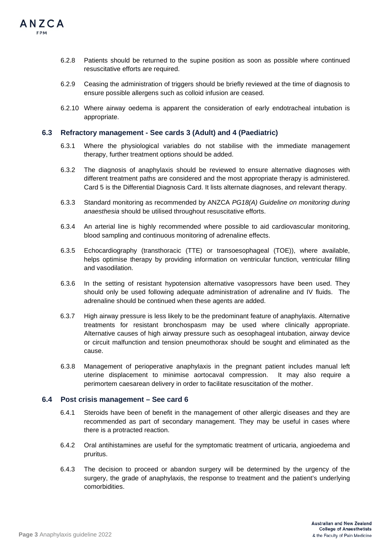

- 6.2.8 Patients should be returned to the supine position as soon as possible where continued resuscitative efforts are required.
- 6.2.9 Ceasing the administration of triggers should be briefly reviewed at the time of diagnosis to ensure possible allergens such as colloid infusion are ceased.
- 6.2.10 Where airway oedema is apparent the consideration of early endotracheal intubation is appropriate.

#### **6.3 Refractory management - See cards 3 (Adult) and 4 (Paediatric)**

- 6.3.1 Where the physiological variables do not stabilise with the immediate management therapy, further treatment options should be added.
- 6.3.2 The diagnosis of anaphylaxis should be reviewed to ensure alternative diagnoses with different treatment paths are considered and the most appropriate therapy is administered. Card 5 is the Differential Diagnosis Card. It lists alternate diagnoses, and relevant therapy.
- 6.3.3 Standard monitoring as recommended by ANZCA *PG18(A) Guideline on monitoring during anaesthesia* should be utilised throughout resuscitative efforts.
- 6.3.4 An arterial line is highly recommended where possible to aid cardiovascular monitoring, blood sampling and continuous monitoring of adrenaline effects.
- 6.3.5 Echocardiography (transthoracic (TTE) or transoesophageal (TOE)), where available, helps optimise therapy by providing information on ventricular function, ventricular filling and vasodilation.
- 6.3.6 In the setting of resistant hypotension alternative vasopressors have been used. They should only be used following adequate administration of adrenaline and IV fluids. The adrenaline should be continued when these agents are added.
- 6.3.7 High airway pressure is less likely to be the predominant feature of anaphylaxis. Alternative treatments for resistant bronchospasm may be used where clinically appropriate. Alternative causes of high airway pressure such as oesophageal intubation, airway device or circuit malfunction and tension pneumothorax should be sought and eliminated as the cause.
- 6.3.8 Management of perioperative anaphylaxis in the pregnant patient includes manual left uterine displacement to minimise aortocaval compression. It may also require a perimortem caesarean delivery in order to facilitate resuscitation of the mother.

#### **6.4 Post crisis management – See card 6**

- 6.4.1 Steroids have been of benefit in the management of other allergic diseases and they are recommended as part of secondary management. They may be useful in cases where there is a protracted reaction.
- 6.4.2 Oral antihistamines are useful for the symptomatic treatment of urticaria, angioedema and pruritus.
- 6.4.3 The decision to proceed or abandon surgery will be determined by the urgency of the surgery, the grade of anaphylaxis, the response to treatment and the patient's underlying comorbidities.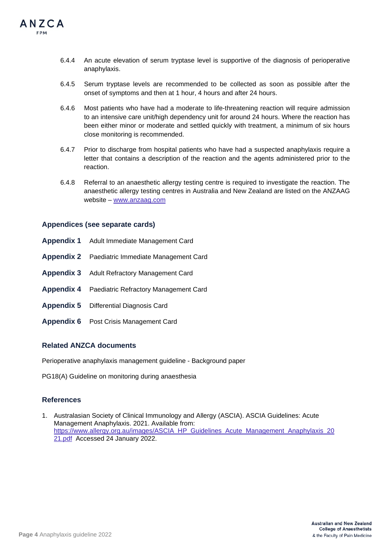

- 6.4.4 An acute elevation of serum tryptase level is supportive of the diagnosis of perioperative anaphylaxis.
- 6.4.5 Serum tryptase levels are recommended to be collected as soon as possible after the onset of symptoms and then at 1 hour, 4 hours and after 24 hours.
- 6.4.6 Most patients who have had a moderate to life-threatening reaction will require admission to an intensive care unit/high dependency unit for around 24 hours. Where the reaction has been either minor or moderate and settled quickly with treatment, a minimum of six hours close monitoring is recommended.
- 6.4.7 Prior to discharge from hospital patients who have had a suspected anaphylaxis require a letter that contains a description of the reaction and the agents administered prior to the reaction.
- 6.4.8 Referral to an anaesthetic allergy testing centre is required to investigate the reaction. The anaesthetic allergy testing centres in Australia and New Zealand are listed on the ANZAAG website – www.anzaag.com

#### **Appendices (see separate cards)**

- **Appendix 1** Adult Immediate Management Card
- **Appendix 2** Paediatric Immediate Management Card
- **Appendix 3** Adult Refractory Management Card
- **Appendix 4** Paediatric Refractory Management Card
- **Appendix 5** Differential Diagnosis Card
- **Appendix 6** Post Crisis Management Card

# **Related ANZCA documents**

Perioperative anaphylaxis management guideline - Background paper

PG18(A) Guideline on monitoring during anaesthesia

## **References**

1. Australasian Society of Clinical Immunology and Allergy (ASCIA). ASCIA Guidelines: Acute Management Anaphylaxis. 2021. Available from: [https://www.allergy.org.au/images/ASCIA\\_HP\\_Guidelines\\_Acute\\_Management\\_Anaphylaxis\\_20](https://www.allergy.org.au/images/ASCIA_HP_Guidelines_Acute_Management_Anaphylaxis_2021.pdf) [21.pdf](https://www.allergy.org.au/images/ASCIA_HP_Guidelines_Acute_Management_Anaphylaxis_2021.pdf) Accessed 24 January 2022.